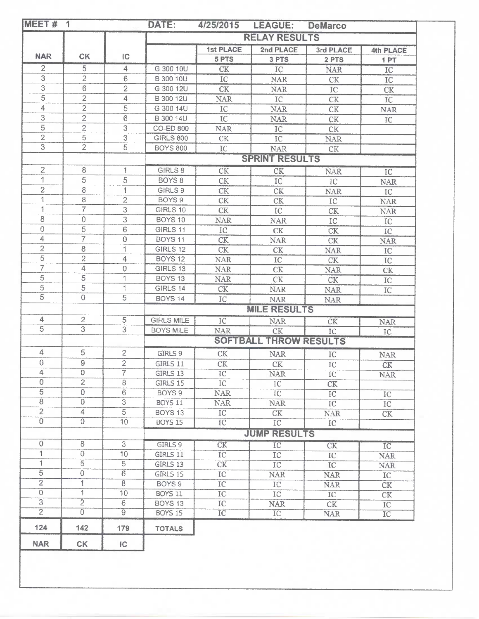|                           |                                  |                                 | <b>RELAY RESULTS</b>  |                          |                               |                        |                  |  |
|---------------------------|----------------------------------|---------------------------------|-----------------------|--------------------------|-------------------------------|------------------------|------------------|--|
|                           |                                  |                                 |                       | 1st PLACE                | 2nd PLACE                     | 3rd PLACE              | <b>4th PLACE</b> |  |
| <b>NAR</b>                | <b>CK</b>                        | IC                              |                       | 5 PTS                    | 3 PTS                         | 2 PTS                  | 1PT              |  |
| $\overline{2}$            | 5                                | 4                               | G 300 10U             | CK                       | IC                            | <b>NAR</b>             | $_{\text{IC}}$   |  |
| 3                         | $\overline{2}$                   | $6\,$                           | B 300 10U             | ${IC}$                   | <b>NAR</b>                    | CK                     | IC.              |  |
| $\ensuremath{\mathsf{3}}$ | $\overline{6}$                   | $\overline{2}$                  | G 300 12U             | CK                       | <b>NAR</b>                    | IC                     | CK               |  |
| 5                         | $\overline{2}$                   | 4                               | B 300 12U             | <b>NAR</b>               | IC                            | CK                     | IC               |  |
| $\overline{4}$            | $\overline{c}$                   | 5                               | G 300 14U             | $\rm{IC}$                | <b>NAR</b>                    | $\mathrm{C}\mathrm{K}$ | <b>NAR</b>       |  |
| 3                         | $\overline{2}$                   | $\sqrt{6}$                      | B 300 14U             | IC                       | <b>NAR</b>                    | CK                     | IC               |  |
| $\overline{5}$            | $\overline{2}$                   | 3                               | CO-ED 800             | <b>NAR</b>               | IC                            | CK                     |                  |  |
| $\overline{2}$            | 5                                | 3                               | <b>GIRLS 800</b>      | $\mathrm{C}\mathrm{K}$   | IC                            | <b>NAR</b>             |                  |  |
| $\overline{3}$            | $\overline{2}$                   | $\overline{5}$                  | <b>BOYS 800</b>       | IC                       | <b>NAR</b>                    | CK                     |                  |  |
|                           |                                  |                                 | <b>SPRINT RESULTS</b> |                          |                               |                        |                  |  |
| $\overline{2}$            | 8                                | 1                               | GIRLS 8               | CK                       | CK                            | <b>NAR</b>             | IC               |  |
| 1                         | 5                                | 5                               | BOYS <sub>8</sub>     | $\mathrm{C}\mathrm{K}$   | IC                            | IC                     |                  |  |
| $\overline{c}$            | 8                                | 1                               | GIRLS 9               | $\mathrm{CK}$            | CK                            |                        | <b>NAR</b>       |  |
| 1                         | 8                                | $\overline{c}$                  | BOYS 9                | $\mathrm{CK}$            | CK                            | <b>NAR</b>             | IC               |  |
| $\mathbf{1}$              | 7                                | 3                               | GIRLS 10              | <b>CK</b>                | IC                            | ${IC}$                 | <b>NAR</b>       |  |
| 8                         | $\mathbf 0$                      | 3                               | BOYS 10               | <b>NAR</b>               |                               | CK                     | <b>NAR</b>       |  |
| $\sqrt{0}$                | 5                                | 6                               | GIRLS 11              | ${\rm IC}$               | <b>NAR</b><br>CK              | ${\rm IC}$             | $_{\text{IC}}$   |  |
| $\overline{4}$            | 7                                | $\mathbf 0$                     | <b>BOYS 11</b>        | CK                       |                               | $\mathrm{CK}$          | ${IC}$           |  |
| $\overline{2}$            | 8                                | 1                               | GIRLS 12              | CK                       | <b>NAR</b>                    | CK                     | <b>NAR</b>       |  |
| 5                         | $\overline{c}$                   | 4                               | BOYS 12               | <b>NAR</b>               | CK                            | <b>NAR</b>             | IC               |  |
| $\overline{7}$            | 4                                | 0                               | GIRLS 13              |                          | IC                            | CK                     | $\rm{IC}$        |  |
| $\overline{5}$            | 5                                | 1                               | <b>BOYS 13</b>        | <b>NAR</b><br><b>NAR</b> | CK                            | <b>NAR</b>             | CK               |  |
| 5                         | 5                                | 1                               | GIRLS 14              |                          | CK                            | <b>CK</b>              | ${IC}$           |  |
| $\overline{5}$            | $\overline{0}$                   | $\overline{5}$                  | <b>BOYS 14</b>        | CK                       | <b>NAR</b>                    | <b>NAR</b>             | ${IC}$           |  |
|                           |                                  |                                 |                       | ${IC}$                   | <b>NAR</b>                    | <b>NAR</b>             |                  |  |
|                           |                                  |                                 |                       |                          | <b>MILE RESULTS</b>           |                        |                  |  |
| 4<br>$\overline{5}$       | $\overline{2}$<br>$\overline{3}$ | $\mathcal{5}$<br>$\overline{3}$ | <b>GIRLS MILE</b>     | IC                       | <b>NAR</b>                    | CK                     | <b>NAR</b>       |  |
|                           |                                  |                                 | <b>BOYS MILE</b>      | <b>NAR</b>               | ${\rm C}{\rm K}$              | IC                     | ${IC}$           |  |
|                           |                                  |                                 |                       |                          | <b>SOFTBALL THROW RESULTS</b> |                        |                  |  |
| 4                         | 5                                | $\overline{2}$                  | GIRLS 9               | CK                       | <b>NAR</b>                    | IC                     | <b>NAR</b>       |  |
| $\boldsymbol{0}$          | $\overline{9}$                   | $\overline{2}$                  | GIRLS 11              | CK                       | CK                            | IC                     | CK               |  |
| 4                         | $\circ$                          | 7                               | GIRLS 13              | IC                       | <b>NAR</b>                    | $_{\text{IC}}$         | <b>NAR</b>       |  |
| $\overline{0}$            | $\overline{2}$                   | $\overline{8}$                  | GIRLS 15              | $\overline{IC}$          | IC                            | CK                     |                  |  |
| $\overline{5}$            | $\circ$                          | $\overline{6}$                  | BOYS 9                | <b>NAR</b>               | $\overline{IC}$               | $\overline{IC}$        | $_{\rm IC}$      |  |
| $\overline{8}$            | $\theta$                         | $\overline{3}$                  | <b>BOYS 11</b>        | <b>NAR</b>               | <b>NAR</b>                    | IC                     | IC               |  |
| $\overline{2}$            | 4                                | $\overline{5}$                  | <b>BOYS 13</b>        | IC                       | CK                            | <b>NAR</b>             | CK               |  |
| $\overline{0}$            | $\circ$                          | 10                              | <b>BOYS 15</b>        | IC                       | $\overline{IC}$               | $\overline{IC}$        |                  |  |
|                           |                                  |                                 | <b>JUMP RESULTS</b>   |                          |                               |                        |                  |  |
| $\circ$                   | 8                                | 3                               | GIRLS 9               | CK                       | $\overline{IC}$               | <b>CK</b>              | $\overline{IC}$  |  |
| $\uparrow$                | $\theta$                         | 10                              | GIRLS 11              | IC.                      | IC                            | IC                     | <b>NAR</b>       |  |
| $\uparrow$                | $\overline{5}$                   | 5                               | GIRLS 13              | $\overline{\text{CK}}$   | IC                            | IC                     | $\rm NAR$        |  |
| $\overline{5}$            | $\overline{0}$                   | $\overline{6}$                  | GIRLS 15              | IC                       | <b>NAR</b>                    | <b>NAR</b>             | IC               |  |
| $\overline{2}$            | $\overline{1}$                   | 8                               | BOYS 9                | $\overline{IC}$          | IC                            | <b>NAR</b>             | CK               |  |
| $\overline{0}$            | $\mathbf{1}$                     | 10                              | BOYS 11               | IC.                      | IC                            | IC                     | CK               |  |
| $\overline{3}$            | $\overline{2}$                   | 6                               | <b>BOYS 13</b>        | IC                       | NAR.                          | CK                     | IC               |  |
| $\overline{2}$            | $\overline{0}$                   | $\overline{9}$                  | <b>BOYS 15</b>        | $\overline{IC}$          | TC                            | <b>NAR</b>             | IC               |  |
| 124                       | 142                              | 179                             | <b>TOTALS</b>         |                          |                               |                        |                  |  |
| <b>NAR</b>                | CK                               | IC                              |                       |                          |                               |                        |                  |  |
|                           |                                  |                                 |                       |                          |                               |                        |                  |  |
|                           |                                  |                                 |                       |                          |                               |                        |                  |  |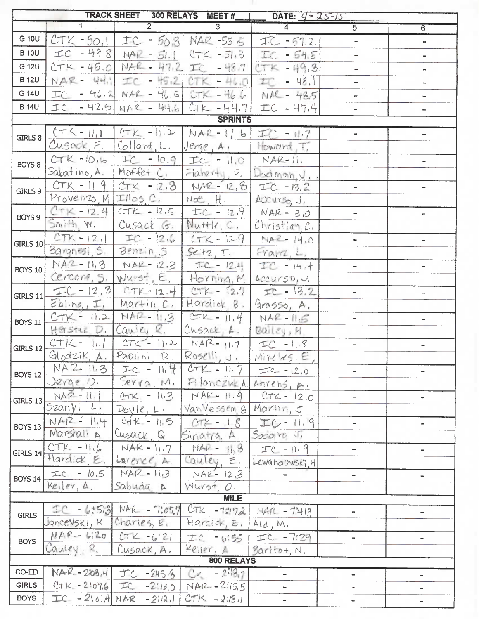|                                                  | TRACK SHEET 300 RELAYS MEET # $1$ DATE: $4 - 25 - 15$ |                                                 |                                   |                                                |                              |                          |  |
|--------------------------------------------------|-------------------------------------------------------|-------------------------------------------------|-----------------------------------|------------------------------------------------|------------------------------|--------------------------|--|
|                                                  | $\overline{1}$                                        | $\overline{2}$                                  | $\overline{3}$                    | $\overline{4}$                                 | $\overline{5}$               | 6                        |  |
| G 10U                                            | $CTK - 50.1$                                          |                                                 | $TC - 56.8$ NAR -55 $5$           | 工C-5%2                                         | $\overline{\phantom{a}}$     | m.                       |  |
| <b>B</b> 10U                                     | $\pm c - 49.8$                                        |                                                 | $NAE - 51.1$ $CTK - 51.3$         | IC<br>$-54,5$                                  |                              | -                        |  |
| G 12U                                            |                                                       | $CTK - 45.0$ NAR - 47.2 IC - 48.7               |                                   | $27K - 49.3$                                   |                              |                          |  |
| <b>B</b> 12U                                     |                                                       | NAR- 441 IC - 45.2                              | $CTK - 46.0$                      | $E = 48.1$                                     |                              |                          |  |
| G 14U                                            |                                                       |                                                 |                                   | $TC - 46.2$ NAR - 46.5 $CTK - 46.6$ NAR - 48.5 | $\overline{\phantom{0}}$     | ÷                        |  |
| <b>B</b> 14U                                     |                                                       | $IC - 42.5$ NAR - 44.6                          | $CTK - 44.7$                      | 工C - 47,4                                      |                              | -                        |  |
|                                                  |                                                       |                                                 | <b>SPRINTS</b>                    |                                                |                              |                          |  |
| GIRLS 8                                          | $( TK - \mu_1)$                                       |                                                 | $CTK - 11.2   NAE - 11.6  = 11.7$ |                                                |                              |                          |  |
|                                                  | Cusack, F.                                            | Collard, L.                                     | Jerge, A,                         | Howard T.                                      |                              |                          |  |
| BOYS 8                                           | $CTK -10.16$                                          | $TC - 10.9$                                     | $TC = 11.0$ $NAP-11.1$            |                                                | $\mathbf{m}$ .               | $\sim$                   |  |
|                                                  | Sabatino, A.                                          | Moffet <sub>, C</sub> ,                         | Flaneru, P.                       | Doctmon, U.                                    |                              |                          |  |
| GIRLS 9                                          | $CTK - 11.9$                                          | $CTK - 12.8$                                    | $NAR - 12, 8$                     | $TC - 13.2$                                    |                              |                          |  |
|                                                  | $Proven20, M  T  05, C.$                              |                                                 | Moe, H.                           | Accurso, J.                                    |                              |                          |  |
| BOYS 9                                           |                                                       | $CTK - 12.4$ $CTK - 12.5$                       | $1 \pm c - 12.9$ NAR-13.0         |                                                |                              |                          |  |
|                                                  | Smith, W.                                             | Cusack G.                                       | $N$ u++ $1$ e, $C$ , $\parallel$  | Christian, C.                                  |                              |                          |  |
| GIRLS $10$                                       |                                                       | $CTK - 12.1$ $TC - 12.6$                        |                                   | $CTK - 12.9$ $PIAE - 14.0$                     | $\blacksquare$               | $\tilde{\phantom{a}}$    |  |
|                                                  | $\mathsf{Baransi}, \mathsf{s}$                        | Benzin S                                        | Seitz, T.                         | Franz, L.                                      |                              |                          |  |
| <b>BOYS 10</b>                                   |                                                       | $NAR - 11,3$ $NAR - 12.3$                       | 土C-124                            | 工で -14.4                                       |                              |                          |  |
|                                                  |                                                       | Cercone, S. Wurst, E.                           | Horning, M                        | Accurso, J.                                    |                              |                          |  |
| GIRLS 11                                         | $FC - 12,3$                                           | $CTK - 12.4$                                    | $CTK - 12.7$                      | $TC - 13.2$                                    | $\sim$                       |                          |  |
|                                                  | Eblinq, I                                             | Martin <sub>.</sub> C.                          | Hardick, 8.                       | Grasso, A.                                     |                              |                          |  |
| <b>BOYS 11</b>                                   | $CTK - 11.2$                                          | $MAP - II.3$                                    | $CTP = 11.4$                      | $NAE - II.5$                                   | $\blacksquare$               | $\blacksquare$           |  |
|                                                  |                                                       | Herstei, D. Cauley, R.                          | Cusack, A.                        | $Bailcy$ , H.                                  |                              |                          |  |
| <b>GIRLS 12</b>                                  |                                                       | $CTK - 11.1$ $CTK - 11.2$ $NAR - 11.7$          |                                   | $TC - 11.8$                                    | $\overline{\phantom{a}}$     | $\bar{\phantom{a}}$      |  |
|                                                  |                                                       | Glodzik, A. Paolini, R. Roselli, J. Mireles, E. |                                   |                                                |                              |                          |  |
| <b>BOYS 12</b>                                   | NAR- 11.3                                             | $TC - 11.4$                                     | $CTK - 11.7$                      | $TC - 12.0$                                    | $\qquad \qquad \blacksquare$ |                          |  |
|                                                  | Jerge O.                                              | Serra, M.                                       | Filonczuzal Ahrens, A.            |                                                |                              |                          |  |
| GIRLS 13                                         | $NAZ - 11.1$                                          | $CTK - 113$                                     |                                   | $NAP - 11.9$ $CTK - 12.0$                      | $\equiv$                     |                          |  |
|                                                  | Szanyi L.                                             | Dovle, L.                                       | VanVessen Gl                      | Martin, J.                                     |                              |                          |  |
| BOYS 13                                          | $NAR - 11.4$                                          | $C + K - 11.5$                                  | $CTE - 11.8$                      | $TC - 11.9$                                    | $\overline{\phantom{a}}$     | $\overline{\phantom{0}}$ |  |
|                                                  | Marshall A.                                           | Cusack Q                                        | Sinorto. A                        | Salaria J,                                     |                              |                          |  |
| GIRLS $14$                                       | $CTK - 11.6$                                          | $NAR - 11.7$                                    | $NA2 - 118$                       | $TC - 11.9$                                    | $\overline{\phantom{a}}$     | $\overline{\phantom{0}}$ |  |
|                                                  | Hardick, E.                                           | Larence, A.                                     | Couley, E.                        | Lewandowski, 4                                 |                              |                          |  |
| <b>BOYS 14</b>                                   | $TC - 10,5$                                           | $NAZ - 113$                                     | $NAP - 123$                       |                                                | $\blacksquare$               |                          |  |
|                                                  | Keller, A.                                            | Sabuda A                                        | Wurst. O.                         |                                                |                              |                          |  |
| <b>MILE</b><br>IC - 6:513 NAR - 7:077 CTK -1:172 |                                                       |                                                 |                                   |                                                |                              |                          |  |
| <b>GIRLS</b>                                     | Joncevski, K. Charles, E.                             |                                                 | Hardick, E.                       | $HAP - 7419$                                   | $\overline{\phantom{a}}$     | $\blacksquare$           |  |
|                                                  | $NAR-WZ0$                                             | $CTK - bi21$                                    |                                   | Ald, M.<br>$TC - 7.29$                         | ÷.                           |                          |  |
| <b>BOYS</b>                                      | Cauley, R.                                            | Cusack, A.                                      | <b>士C -bi55</b><br>Keller, A      |                                                |                              |                          |  |
|                                                  |                                                       |                                                 | 800 RELAYS                        | $B$ aritot, N,                                 |                              |                          |  |
| CO-ED                                            |                                                       | NAR-208.4 IC -245.8                             | $CK - 293.7$                      | $\sim$                                         | ÷                            | ÷.                       |  |
| <b>GIRLS</b>                                     | $CTK - 2107.6$                                        | $TC - 2:13.0$                                   | $NAR - 2.15.5$                    |                                                | ۰                            |                          |  |
| <b>BOYS</b>                                      |                                                       | $TC - 2$ : 01.4 NAR - 2112.1                    | $CTK - 21131$                     | $\blacksquare$                                 | $\blacksquare$               |                          |  |
|                                                  |                                                       |                                                 |                                   |                                                |                              |                          |  |